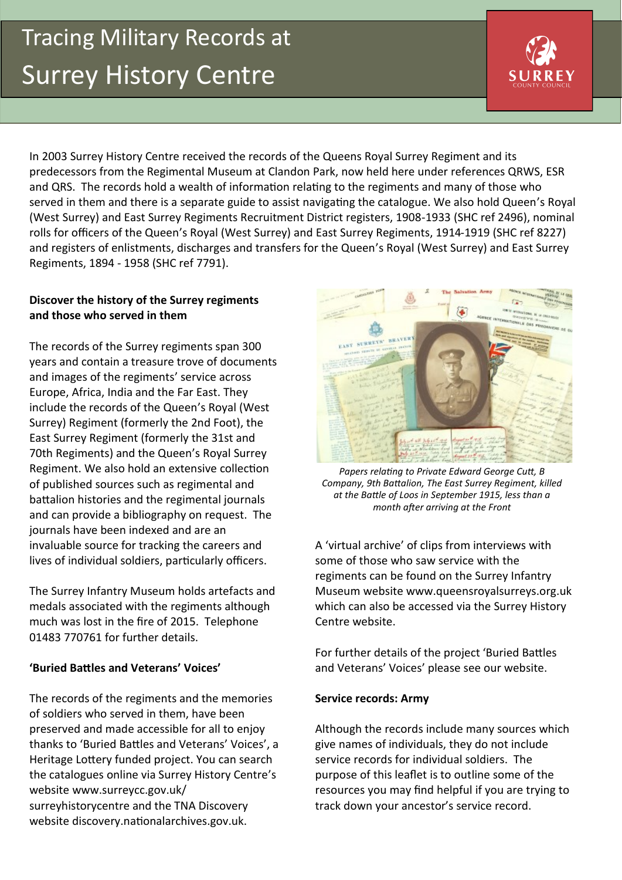# Tracing Military Records at **Exercise Surrey History Centre**



In 2003 Surrey History Centre received the records of the Queens Royal Surrey Regiment and its predecessors from the Regimental Museum at Clandon Park, now held here under references QRWS, ESR and QRS. The records hold a wealth of information relating to the regiments and many of those who served in them and there is a separate guide to assist navigating the catalogue. We also hold Queen's Royal (West Surrey) and East Surrey Regiments Recruitment District registers, 1908-1933 (SHC ref 2496), nominal rolls for officers of the Queen's Royal (West Surrey) and East Surrey Regiments, 1914-1919 (SHC ref 8227) and registers of enlistments, discharges and transfers for the Queen's Royal (West Surrey) and East Surrey Regiments, 1894 - 1958 (SHC ref 7791).

#### **Discover the history of the Surrey regiments and those who served in them**

The records of the Surrey regiments span 300 years and contain a treasure trove of documents and images of the regiments' service across Europe, Africa, India and the Far East. They include the records of the Queen's Royal (West Surrey) Regiment (formerly the 2nd Foot), the East Surrey Regiment (formerly the 31st and 70th Regiments) and the Queen's Royal Surrey Regiment. We also hold an extensive collection of published sources such as regimental and battalion histories and the regimental journals and can provide a bibliography on request. The journals have been indexed and are an invaluable source for tracking the careers and lives of individual soldiers, particularly officers.

The Surrey Infantry Museum holds artefacts and medals associated with the regiments although much was lost in the fire of 2015. Telephone 01483 770761 for further details.

#### **'Buried Battles and Veterans' Voices'**

The records of the regiments and the memories of soldiers who served in them, have been preserved and made accessible for all to enjoy thanks to 'Buried Battles and Veterans' Voices', a Heritage Lottery funded project. You can search the catalogues online via Surrey History Centre's website www.surreycc.gov.uk/ surreyhistorycentre and the TNA Discovery website discovery.nationalarchives.gov.uk.



*Papers relating to Private Edward George Cutt, B Company, 9th Battalion, The East Surrey Regiment, killed at the Battle of Loos in September 1915, less than a month after arriving at the Front*

A 'virtual archive' of clips from interviews with some of those who saw service with the regiments can be found on the Surrey Infantry Museum website www.queensroyalsurreys.org.uk which can also be accessed via the Surrey History Centre website.

For further details of the project 'Buried Battles and Veterans' Voices' please see our website.

#### **Service records: Army**

Although the records include many sources which give names of individuals, they do not include service records for individual soldiers. The purpose of this leaflet is to outline some of the resources you may find helpful if you are trying to track down your ancestor's service record.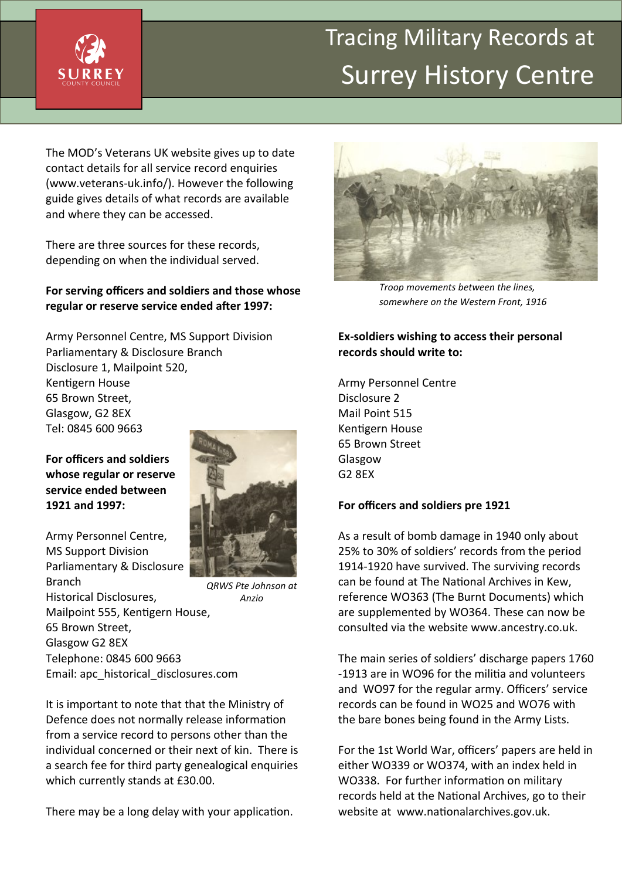

## **Tracing Military Records at** Surrey History Centre

The MOD's Veterans UK website gives up to date contact details for all service record enquiries (www.veterans-uk.info/). However the following guide gives details of what records are available and where they can be accessed.

There are three sources for these records, depending on when the individual served.

#### **For serving officers and soldiers and those whose regular or reserve service ended after 1997:**

Army Personnel Centre, MS Support Division Parliamentary & Disclosure Branch Disclosure 1, Mailpoint 520, Kentigern House 65 Brown Street, Glasgow, G2 8EX Tel: 0845 600 9663

**For officers and soldiers whose regular or reserve service ended between 1921 and 1997:**

Army Personnel Centre, MS Support Division Parliamentary & Disclosure Branch Historical Disclosures, Mailpoint 555, Kentigern House, 65 Brown Street, Glasgow G2 8EX Telephone: 0845 600 9663 Email: apc\_historical\_disclosures.com



*QRWS Pte Johnson at Anzio*

It is important to note that that the Ministry of Defence does not normally release information from a service record to persons other than the individual concerned or their next of kin. There is a search fee for third party genealogical enquiries which currently stands at £30.00.

There may be a long delay with your application.



*Troop movements between the lines, somewhere on the Western Front, 1916*

#### **Ex-soldiers wishing to access their personal records should write to:**

Army Personnel Centre Disclosure 2 Mail Point 515 Kentigern House 65 Brown Street Glasgow G2 8EX

#### **For officers and soldiers pre 1921**

As a result of bomb damage in 1940 only about 25% to 30% of soldiers' records from the period 1914-1920 have survived. The surviving records can be found at The National Archives in Kew, reference WO363 (The Burnt Documents) which are supplemented by WO364. These can now be consulted via the website www.ancestry.co.uk.

The main series of soldiers' discharge papers 1760 -1913 are in WO96 for the militia and volunteers and WO97 for the regular army. Officers' service records can be found in WO25 and WO76 with the bare bones being found in the Army Lists.

For the 1st World War, officers' papers are held in either WO339 or WO374, with an index held in WO338. For further information on military records held at the National Archives, go to their website at www.nationalarchives.gov.uk.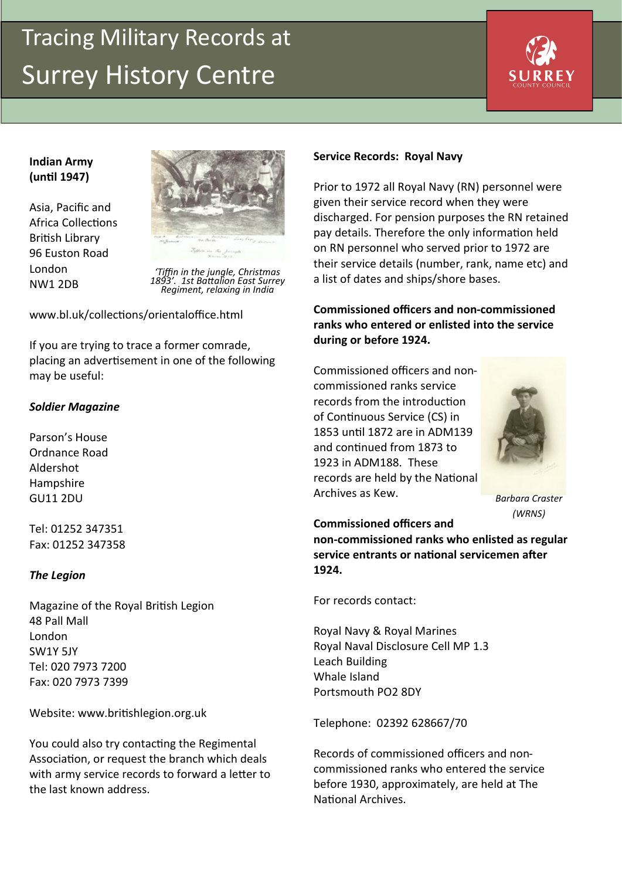## Tracing Military Records at **Surrey History Centre**



#### **Indian Army (until 1947)**

Asia, Pacific and Africa Collections British Library 96 Euston Road London NW1 2DB



*'Tiffin in the jungle, Christmas 1893'. 1st Battalion East Surrey Regiment, relaxing in India*

www.bl.uk/collections/orientaloffice.html

If you are trying to trace a former comrade, placing an advertisement in one of the following may be useful:

### *Soldier Magazine*

Parson's House Ordnance Road Aldershot Hampshire GU11 2DU

Tel: 01252 347351 Fax: 01252 347358

#### *The Legion*

Magazine of the Royal British Legion 48 Pall Mall London SW1Y 5JY Tel: 020 7973 7200 Fax: 020 7973 7399

Website: www.britishlegion.org.uk

You could also try contacting the Regimental Association, or request the branch which deals with army service records to forward a letter to the last known address.

#### **Service Records: Royal Navy**

Prior to 1972 all Royal Navy (RN) personnel were given their service record when they were discharged. For pension purposes the RN retained pay details. Therefore the only information held on RN personnel who served prior to 1972 are their service details (number, rank, name etc) and a list of dates and ships/shore bases.

### **Commissioned officers and non-commissioned ranks who entered or enlisted into the service during or before 1924.**

Commissioned officers and noncommissioned ranks service records from the introduction of Continuous Service (CS) in 1853 until 1872 are in ADM139 and continued from 1873 to 1923 in ADM188. These records are held by the National Archives as Kew.



*Barbara Craster (WRNS)*

**Commissioned officers and non-commissioned ranks who enlisted as regular service entrants or national servicemen after 1924.**

For records contact:

Royal Navy & Royal Marines Royal Naval Disclosure Cell MP 1.3 Leach Building Whale Island Portsmouth PO2 8DY

Telephone: 02392 628667/70

Records of commissioned officers and noncommissioned ranks who entered the service before 1930, approximately, are held at The National Archives.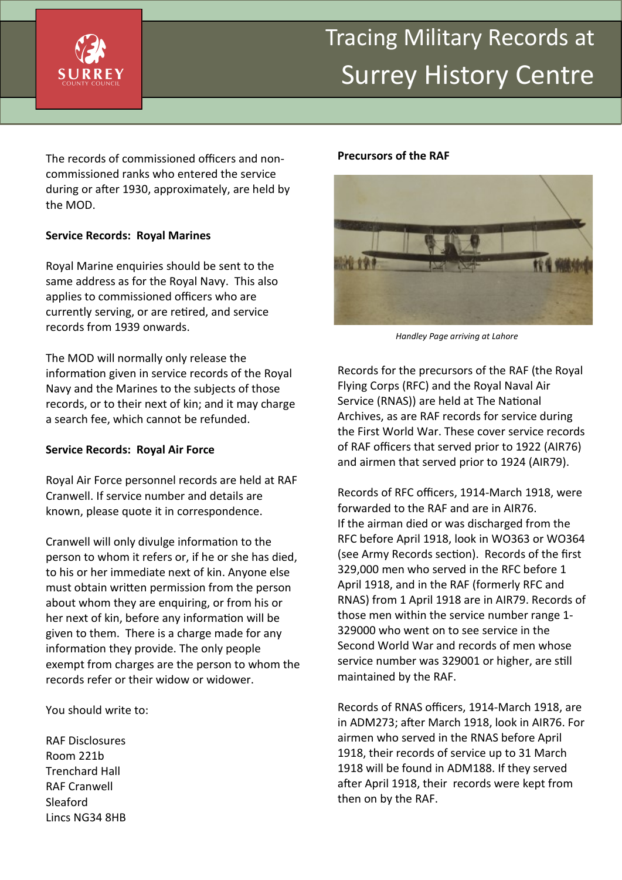

## Surrey History Centre

The records of commissioned officers and noncommissioned ranks who entered the service during or after 1930, approximately, are held by the MOD.

#### **Service Records: Royal Marines**

Royal Marine enquiries should be sent to the same address as for the Royal Navy. This also applies to commissioned officers who are currently serving, or are retired, and service records from 1939 onwards.

The MOD will normally only release the information given in service records of the Royal Navy and the Marines to the subjects of those records, or to their next of kin; and it may charge a search fee, which cannot be refunded.

#### **Service Records: Royal Air Force**

Royal Air Force personnel records are held at RAF Cranwell. If service number and details are known, please quote it in correspondence.

Cranwell will only divulge information to the person to whom it refers or, if he or she has died, to his or her immediate next of kin. Anyone else must obtain written permission from the person about whom they are enquiring, or from his or her next of kin, before any information will be given to them. There is a charge made for any information they provide. The only people exempt from charges are the person to whom the records refer or their widow or widower.

You should write to:

RAF Disclosures Room 221b Trenchard Hall RAF Cranwell Sleaford Lincs NG34 8HB

#### **Precursors of the RAF**



*Handley Page arriving at Lahore*

Records for the precursors of the RAF (the Royal Flying Corps (RFC) and the Royal Naval Air Service (RNAS)) are held at The National Archives, as are RAF records for service during the First World War. These cover service records of RAF officers that served prior to 1922 (AIR76) and airmen that served prior to 1924 (AIR79).

Records of RFC officers, 1914-March 1918, were forwarded to the RAF and are in AIR76. If the airman died or was discharged from the RFC before April 1918, look in WO363 or WO364 (see Army Records section). Records of the first 329,000 men who served in the RFC before 1 April 1918, and in the RAF (formerly RFC and RNAS) from 1 April 1918 are in AIR79. Records of those men within the service number range 1- 329000 who went on to see service in the Second World War and records of men whose service number was 329001 or higher, are still maintained by the RAF.

Records of RNAS officers, 1914-March 1918, are in ADM273; after March 1918, look in AIR76. For airmen who served in the RNAS before April 1918, their records of service up to 31 March 1918 will be found in ADM188. If they served after April 1918, their records were kept from then on by the RAF.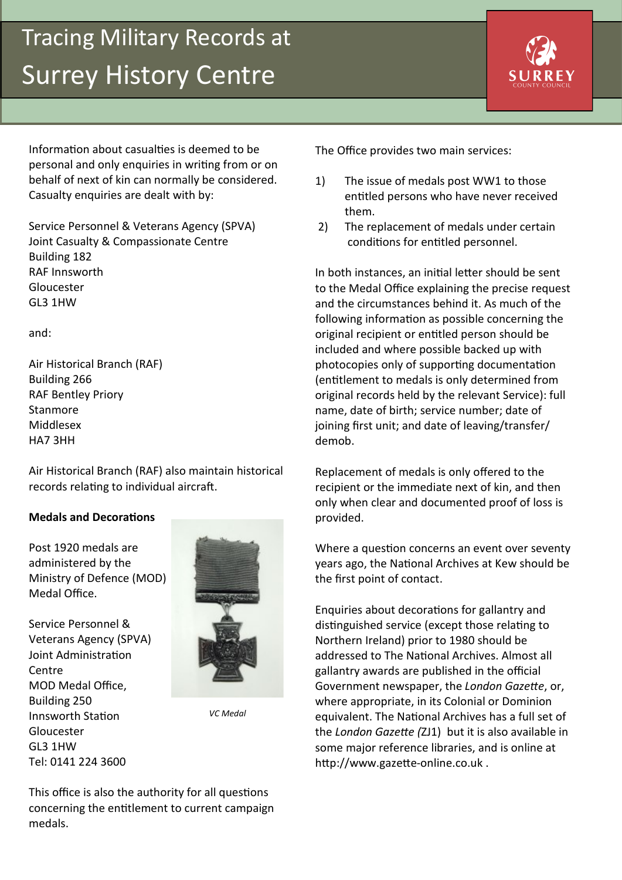## Tracing Military Records at **Surrey History Centre**



Information about casualties is deemed to be personal and only enquiries in writing from or on behalf of next of kin can normally be considered. Casualty enquiries are dealt with by:

Service Personnel & Veterans Agency (SPVA) Joint Casualty & Compassionate Centre Building 182 RAF Innsworth Gloucester GL3 1HW

and:

Air Historical Branch (RAF) Building 266 RAF Bentley Priory Stanmore Middlesex HA7 3HH

Air Historical Branch (RAF) also maintain historical records relating to individual aircraft.

#### **Medals and Decorations**

Post 1920 medals are administered by the Ministry of Defence (MOD) Medal Office.

Service Personnel & Veterans Agency (SPVA) Joint Administration Centre MOD Medal Office, Building 250 Innsworth Station Gloucester GL3 1HW Tel: 0141 224 3600



*VC Medal*

This office is also the authority for all questions concerning the entitlement to current campaign medals.

The Office provides two main services:

- 1) The issue of medals post WW1 to those entitled persons who have never received them.
- 2) The replacement of medals under certain conditions for entitled personnel.

In both instances, an initial letter should be sent to the Medal Office explaining the precise request and the circumstances behind it. As much of the following information as possible concerning the original recipient or entitled person should be included and where possible backed up with photocopies only of supporting documentation (entitlement to medals is only determined from original records held by the relevant Service): full name, date of birth; service number; date of joining first unit; and date of leaving/transfer/ demob.

Replacement of medals is only offered to the recipient or the immediate next of kin, and then only when clear and documented proof of loss is provided.

Where a question concerns an event over seventy years ago, the National Archives at Kew should be the first point of contact.

Enquiries about decorations for gallantry and distinguished service (except those relating to Northern Ireland) prior to 1980 should be addressed to The National Archives. Almost all gallantry awards are published in the official Government newspaper, the *London Gazette*, or, where appropriate, in its Colonial or Dominion equivalent. The National Archives has a full set of the *London Gazette (*ZJ1) but it is also available in some major reference libraries, and is online at http://www.gazette-online.co.uk .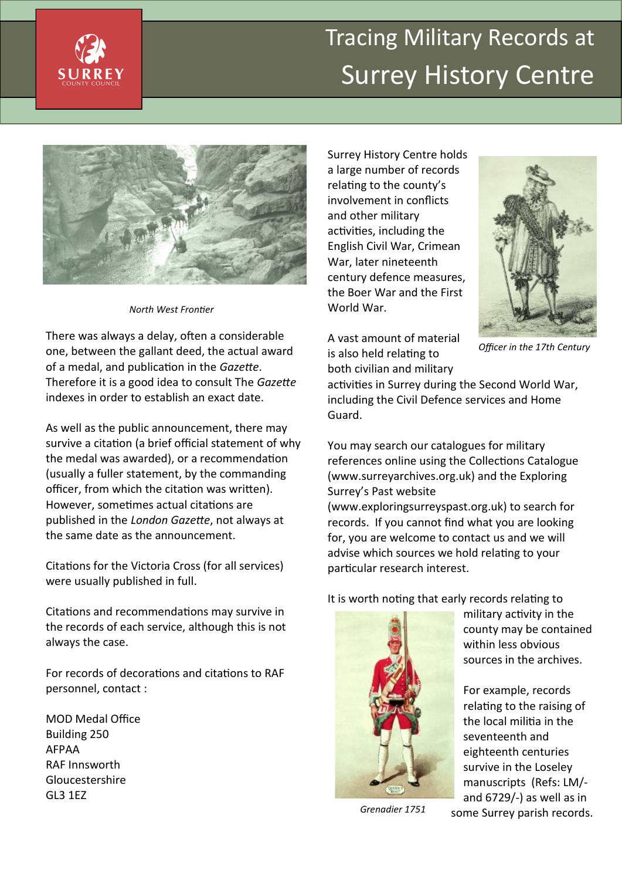

## Tracing Military Records at Surrey History Centre



*North West Frontier*

There was always a delay, often a considerable one, between the gallant deed, the actual award of a medal, and publication in the *Gazette*. Therefore it is a good idea to consult The *Gazette*  indexes in order to establish an exact date.

As well as the public announcement, there may survive a citation (a brief official statement of why the medal was awarded), or a recommendation (usually a fuller statement, by the commanding officer, from which the citation was written). However, sometimes actual citations are published in the *London Gazette*, not always at the same date as the announcement.

Citations for the Victoria Cross (for all services) were usually published in full.

Citations and recommendations may survive in the records of each service, although this is not always the case.

For records of decorations and citations to RAF personnel, contact :

MOD Medal Office Building 250 AFPAA RAF Innsworth Gloucestershire GL3 1EZ

Surrey History Centre holds a large number of records relating to the county's involvement in conflicts and other military activities, including the English Civil War, Crimean War, later nineteenth century defence measures, the Boer War and the First World War.



*Officer in the 17th Century*

A vast amount of material is also held relating to both civilian and military

activities in Surrey during the Second World War, including the Civil Defence services and Home Guard.

You may search our catalogues for military references online using the Collections Catalogue (www.surreyarchives.org.uk) and the Exploring Surrey's Past website

(www.exploringsurreyspast.org.uk) to search for records. If you cannot find what you are looking for, you are welcome to contact us and we will advise which sources we hold relating to your particular research interest.

It is worth noting that early records relating to



military activity in the county may be contained within less obvious sources in the archives.

For example, records relating to the raising of the local militia in the seventeenth and eighteenth centuries survive in the Loseley manuscripts (Refs: LM/ and 6729/-) as well as in some Surrey parish records.

*Grenadier 1751*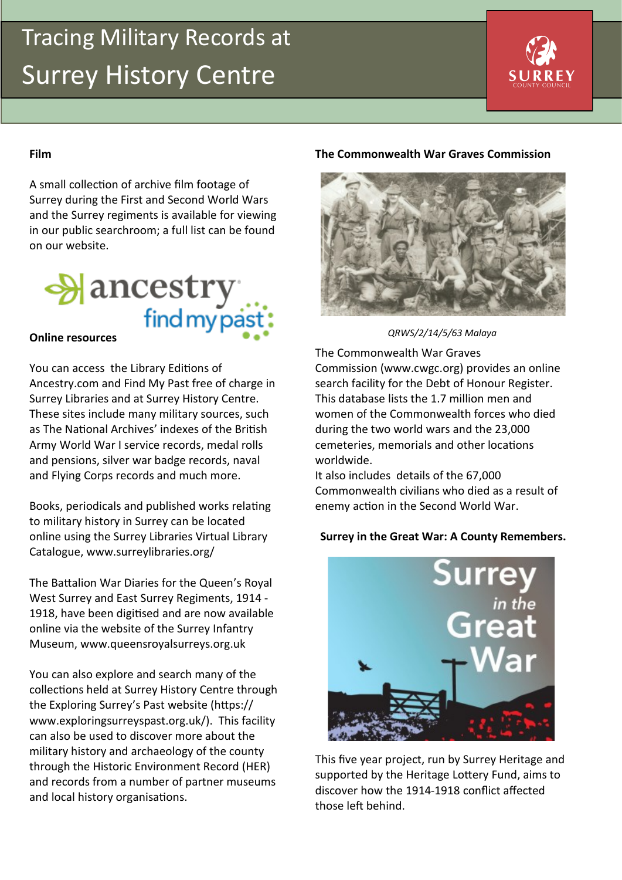## Tracing Military Records at **Surrey History Centre**



### **Film**

A small collection of archive film footage of Surrey during the First and Second World Wars and the Surrey regiments is available for viewing in our public searchroom; a full list can be found on our website.



You can access the Library Editions of Ancestry.com and Find My Past free of charge in Surrey Libraries and at Surrey History Centre. These sites include many military sources, such as The National Archives' indexes of the British Army World War I service records, medal rolls and pensions, silver war badge records, naval and Flying Corps records and much more.

Books, periodicals and published works relating to military history in Surrey can be located online using the Surrey Libraries Virtual Library Catalogue, www.surreylibraries.org/

The Battalion War Diaries for the Queen's Royal West Surrey and East Surrey Regiments, 1914 - 1918, have been digitised and are now available online via the website of the Surrey Infantry Museum, www.queensroyalsurreys.org.uk

You can also explore and search many of the collections held at Surrey History Centre through the Exploring Surrey's Past website (https:// www.exploringsurreyspast.org.uk/). This facility can also be used to discover more about the military history and archaeology of the county through the Historic Environment Record (HER) and records from a number of partner museums and local history organisations.

#### **The Commonwealth War Graves Commission**



*QRWS/2/14/5/63 Malaya*

The Commonwealth War Graves Commission (www.cwgc.org) provides an online search facility for the Debt of Honour Register. This database lists the 1.7 million men and women of the Commonwealth forces who died during the two world wars and the 23,000 cemeteries, memorials and other locations worldwide.

It also includes details of the 67,000 Commonwealth civilians who died as a result of enemy action in the Second World War.

#### **Surrey in the Great War: A County Remembers.**



This five year project, run by Surrey Heritage and supported by the Heritage Lottery Fund, aims to discover how the 1914-1918 conflict affected those left behind.